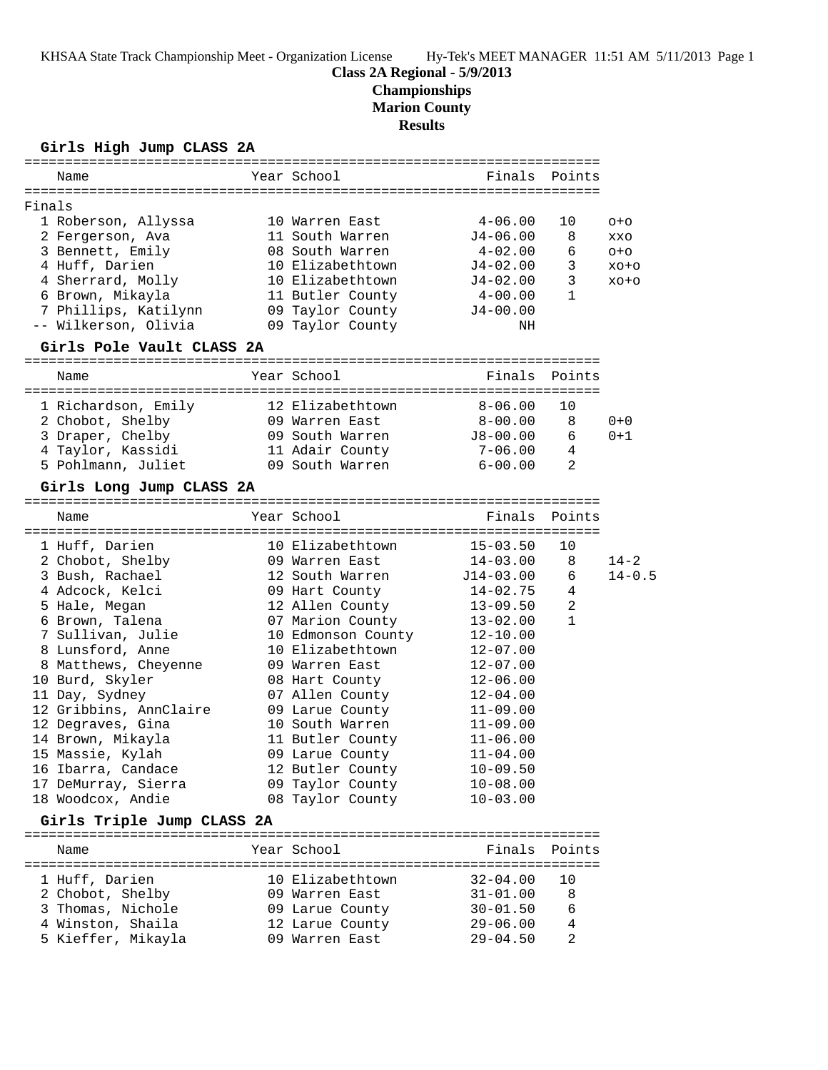# **Class 2A Regional - 5/9/2013**

**Championships**

**Marion County**

**Results**

### **Girls High Jump CLASS 2A**

| Name               |                            | Year School        | Finals Points |              |            |
|--------------------|----------------------------|--------------------|---------------|--------------|------------|
| Finals             |                            |                    |               |              |            |
|                    | 1 Roberson, Allyssa        | 10 Warren East     | 4-06.00       | 10           | $O + O$    |
|                    | 2 Fergerson, Ava           | 11 South Warren    | $J4 - 06.00$  | 8            | XXO        |
|                    | 3 Bennett, Emily           | 08 South Warren    | $4 - 02.00$   | 6            | $O + O$    |
| 4 Huff, Darien     |                            | 10 Elizabethtown   | $J4 - 02.00$  | 3            | $XO+O$     |
|                    | 4 Sherrard, Molly          | 10 Elizabethtown   | $J4 - 02.00$  | 3            | $XO+O$     |
|                    | 6 Brown, Mikayla           | 11 Butler County   | $4 - 00.00$   | $\mathbf{1}$ |            |
|                    | 7 Phillips, Katilynn       | 09 Taylor County   | $J4-00.00$    |              |            |
|                    | -- Wilkerson, Olivia       | 09 Taylor County   | ΝH            |              |            |
|                    | Girls Pole Vault CLASS 2A  |                    |               |              |            |
|                    |                            |                    |               |              |            |
| Name               |                            | Year School        | Finals        | Points       |            |
|                    | 1 Richardson, Emily        | 12 Elizabethtown   | $8 - 06.00$   | 10           |            |
|                    | 2 Chobot, Shelby           | 09 Warren East     | $8 - 00.00$   | 8            | $0 + 0$    |
|                    | 3 Draper, Chelby           | 09 South Warren    | J8-00.00      | 6            | $0 + 1$    |
|                    | 4 Taylor, Kassidi          | 11 Adair County    | $7 - 06.00$   | 4            |            |
|                    | 5 Pohlmann, Juliet         | 09 South Warren    | $6 - 00.00$   | 2            |            |
|                    | Girls Long Jump CLASS 2A   |                    |               |              |            |
|                    |                            |                    |               |              |            |
| Name               |                            | Year School        | Finals        | Points       |            |
| 1 Huff, Darien     |                            | 10 Elizabethtown   | $15 - 03.50$  | 10           |            |
|                    | 2 Chobot, Shelby           | 09 Warren East     | $14 - 03.00$  | 8            | $14 - 2$   |
| 3 Bush, Rachael    |                            | 12 South Warren    | $J14-03.00$   | 6            | $14 - 0.5$ |
| 4 Adcock, Kelci    |                            | 09 Hart County     | $14 - 02.75$  | 4            |            |
| 5 Hale, Megan      |                            | 12 Allen County    | $13 - 09.50$  | 2            |            |
| 6 Brown, Talena    |                            | 07 Marion County   | $13 - 02.00$  | $\mathbf{1}$ |            |
|                    | 7 Sullivan, Julie          | 10 Edmonson County | $12 - 10.00$  |              |            |
|                    | 8 Lunsford, Anne           | 10 Elizabethtown   | $12 - 07.00$  |              |            |
|                    | 8 Matthews, Cheyenne       | 09 Warren East     | $12 - 07.00$  |              |            |
| 10 Burd, Skyler    |                            | 08 Hart County     | $12 - 06.00$  |              |            |
| 11 Day, Sydney     |                            | 07 Allen County    | $12 - 04.00$  |              |            |
|                    | 12 Gribbins, AnnClaire     | 09 Larue County    | $11 - 09.00$  |              |            |
| 12 Degraves, Gina  |                            | 10 South Warren    | $11 - 09.00$  |              |            |
| 14 Brown, Mikayla  |                            | 11 Butler County   | $11 - 06.00$  |              |            |
| 15 Massie, Kylah   |                            | 09 Larue County    | $11 - 04.00$  |              |            |
| 16 Ibarra, Candace |                            | 12 Butler County   | $10 - 09.50$  |              |            |
|                    | 17 DeMurray, Sierra        | 09 Taylor County   | $10 - 08.00$  |              |            |
| 18 Woodcox, Andie  |                            | 08 Taylor County   | $10 - 03.00$  |              |            |
|                    | Girls Triple Jump CLASS 2A |                    |               |              |            |
| Name               |                            | Year School        | Finals        | Points       |            |
|                    |                            |                    |               |              |            |
| 1 Huff, Darien     |                            | 10 Elizabethtown   | $32 - 04.00$  | 10           |            |
|                    | 2 Chobot, Shelby           | 09 Warren East     | $31 - 01.00$  | 8            |            |
|                    | 3 Thomas, Nichole          | 09 Larue County    | $30 - 01.50$  | 6            |            |
|                    | 4 Winston, Shaila          | 12 Larue County    | $29 - 06.00$  | 4            |            |
|                    | 5 Kieffer, Mikayla         | 09 Warren East     | $29 - 04.50$  | 2            |            |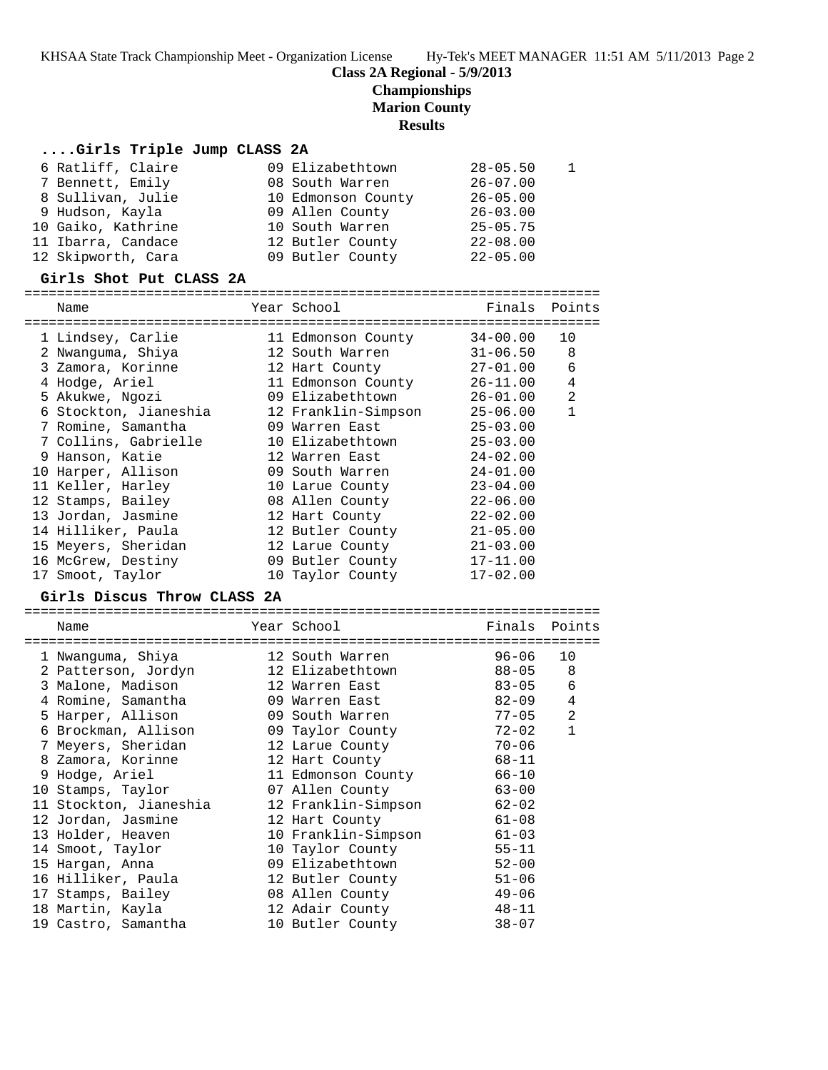KHSAA State Track Championship Meet - Organization License Hy-Tek's MEET MANAGER 11:51 AM 5/11/2013 Page 2

# **Class 2A Regional - 5/9/2013**

**Championships**

**Marion County**

## **Results**

# **....Girls Triple Jump CLASS 2A**

| 6 Ratliff, Claire  | 09 Elizabethtown   | $28 - 05.50$ |  |
|--------------------|--------------------|--------------|--|
| 7 Bennett, Emily   | 08 South Warren    | $26 - 07.00$ |  |
| 8 Sullivan, Julie  | 10 Edmonson County | $26 - 05.00$ |  |
| 9 Hudson, Kayla    | 09 Allen County    | $26 - 03.00$ |  |
| 10 Gaiko, Kathrine | 10 South Warren    | $25 - 05.75$ |  |
| 11 Ibarra, Candace | 12 Butler County   | $22 - 08.00$ |  |
| 12 Skipworth, Cara | 09 Butler County   | $22 - 05.00$ |  |

### **Girls Shot Put CLASS 2A**

| Name                                    | Year School                         | Finals                 | Points         |
|-----------------------------------------|-------------------------------------|------------------------|----------------|
| 1 Lindsey, Carlie                       | 11 Edmonson County                  | $34 - 00.00$           | 10             |
| 2 Nwanguma, Shiya                       | 12 South Warren                     | $31 - 06.50$           | 8              |
| 3 Zamora, Korinne                       | 12 Hart County                      | $27 - 01.00$           | 6              |
| 4 Hodge, Ariel                          | 11 Edmonson County                  | $26 - 11.00$           | 4              |
| 5 Akukwe, Ngozi                         | 09 Elizabethtown                    | $26 - 01.00$           | 2              |
| 6 Stockton, Jianeshia                   | 12 Franklin-Simpson                 | $25 - 06.00$           | $\mathbf{1}$   |
| 7 Romine, Samantha                      | 09 Warren East                      | $25 - 03.00$           |                |
| 7 Collins, Gabrielle                    | 10 Elizabethtown                    | $25 - 03.00$           |                |
| 9 Hanson, Katie                         | 12 Warren East                      | $24 - 02.00$           |                |
| 10 Harper, Allison                      | 09 South Warren                     | $24 - 01.00$           |                |
| 11 Keller, Harley                       | 10 Larue County                     | $23 - 04.00$           |                |
| 12 Stamps, Bailey                       | 08 Allen County                     | $22 - 06.00$           |                |
| 13 Jordan, Jasmine                      | 12 Hart County                      | $22 - 02.00$           |                |
| 14 Hilliker, Paula                      | 12 Butler County                    | $21 - 05.00$           |                |
| 15 Meyers, Sheridan                     | 12 Larue County                     | $21 - 03.00$           |                |
| 16 McGrew, Destiny                      | 09 Butler County                    | $17 - 11.00$           |                |
| 17 Smoot, Taylor                        | 10 Taylor County                    | $17 - 02.00$           |                |
| Girls Discus Throw CLASS 2A             |                                     |                        |                |
|                                         |                                     |                        |                |
|                                         |                                     |                        |                |
| Name                                    | Year School                         | Finals                 | Points         |
|                                         |                                     |                        |                |
| 1 Nwanguma, Shiya                       | 12 South Warren                     | $96 - 06$              | 10             |
| 2 Patterson, Jordyn                     | 12 Elizabethtown                    | $88 - 05$              | 8              |
| 3 Malone, Madison                       | 12 Warren East                      | $83 - 05$              | 6              |
| 4 Romine, Samantha                      | 09 Warren East                      | 82-09                  | 4              |
| 5 Harper, Allison                       | 09 South Warren                     | $77 - 05$              | $\overline{2}$ |
| 6 Brockman, Allison                     | 09 Taylor County                    | $72 - 02$              | $\mathbf{1}$   |
| 7 Meyers, Sheridan                      | 12 Larue County                     | $70 - 06$              |                |
| 8 Zamora, Korinne                       | 12 Hart County                      | $68 - 11$              |                |
| 9 Hodge, Ariel                          | 11 Edmonson County                  | $66 - 10$              |                |
| 10 Stamps, Taylor                       | 07 Allen County                     | $63 - 00$              |                |
| 11 Stockton, Jianeshia                  | 12 Franklin-Simpson                 | $62 - 02$              |                |
| 12 Jordan, Jasmine                      | 12 Hart County                      | $61 - 08$              |                |
| 13 Holder, Heaven                       | 10 Franklin-Simpson                 | $61 - 03$              |                |
| 14 Smoot, Taylor                        | 10 Taylor County                    | $55 - 11$              |                |
| 15 Hargan, Anna                         | 09 Elizabethtown                    | $52 - 00$              |                |
| 16 Hilliker, Paula                      | 12 Butler County                    | $51 - 06$              |                |
| 17 Stamps, Bailey                       | 08 Allen County                     | $49 - 06$              |                |
| 18 Martin, Kayla<br>19 Castro, Samantha | 12 Adair County<br>10 Butler County | $48 - 11$<br>$38 - 07$ |                |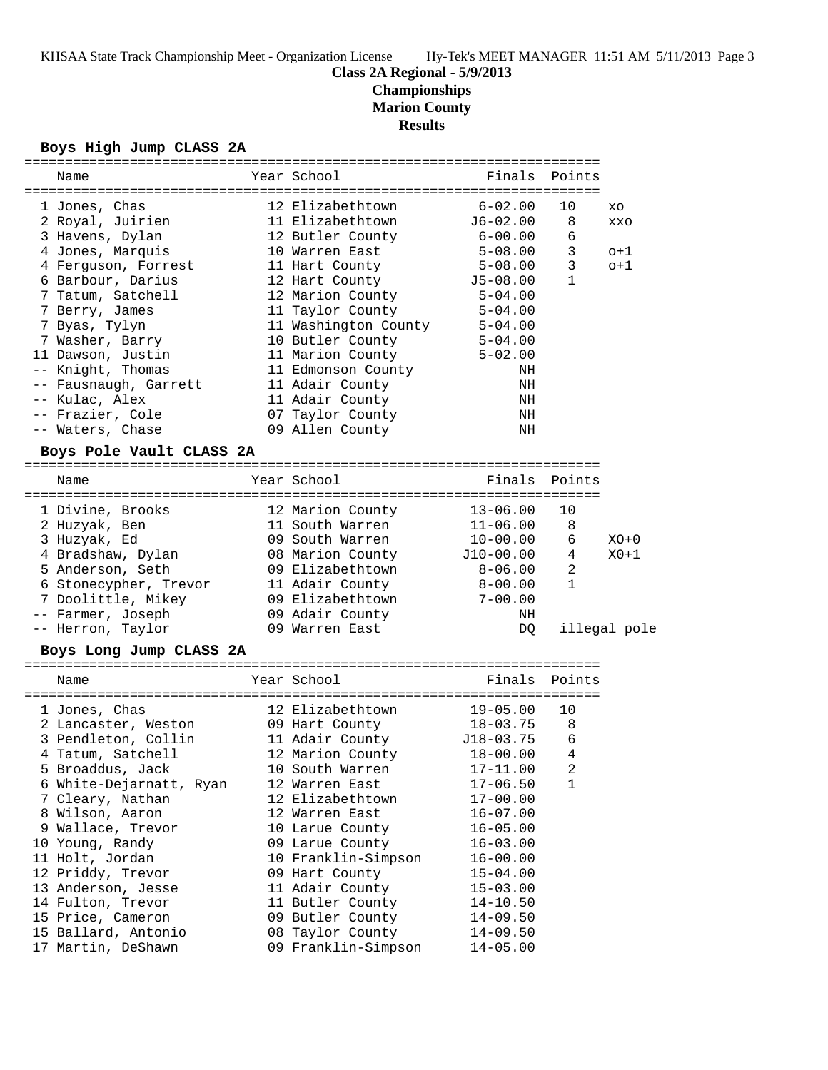#### **Class 2A Regional - 5/9/2013**

# **Championships**

**Marion County**

### **Results**

#### **Boys High Jump CLASS 2A**

|  | Name                                                                 |  | Year School                  | Finals Points |                 |        |  |
|--|----------------------------------------------------------------------|--|------------------------------|---------------|-----------------|--------|--|
|  |                                                                      |  |                              |               |                 |        |  |
|  | 1 Jones, Chas                                                        |  | 12 Elizabethtown 6-02.00     |               | 10              | XO     |  |
|  | 2 Royal, Juirien                                                     |  | 11 Elizabethtown             | J6-02.00      | 8               | XXO    |  |
|  | 3 Havens, Dylan                                                      |  | 12 Butler County 6-00.00     |               | $\epsilon$      |        |  |
|  | 4 Jones, Marquis                                                     |  | 10 Warren East 5-08.00       |               | 3               | $o+1$  |  |
|  | 4 Ferguson, Forrest 11 Hart County 5-08.00                           |  |                              |               | $\mathbf{3}$    | $o+1$  |  |
|  | 6 Barbour, Darius                                                    |  | 12 Hart County 55-08.00      |               | $\mathbf{1}$    |        |  |
|  | 7 Tatum, Satchell                                                    |  | 12 Marion County 5-04.00     |               |                 |        |  |
|  | 7 Berry, James                                                       |  | 11 Taylor County 5-04.00     |               |                 |        |  |
|  | 7 Byas, Tylyn                                                        |  | 11 Washington County 5-04.00 |               |                 |        |  |
|  | 7 Washer, Barry 10 Butler County 5-04.00                             |  |                              |               |                 |        |  |
|  | 11 Dawson, Justin 11 Marion County 5-02.00                           |  |                              |               |                 |        |  |
|  | -- Knight, Thomas                                                    |  | 11 Edmonson County           | NH            |                 |        |  |
|  | -- Fausnaugh, Garrett 11 Adair County                                |  |                              | NH            |                 |        |  |
|  | -- Kulac, Alex                                                       |  | 11 Adair County              | NH            |                 |        |  |
|  | -- Frazier, Cole 67 Taylor County                                    |  |                              | NH            |                 |        |  |
|  | -- Waters, Chase                                                     |  | 09 Allen County              | ΝH            |                 |        |  |
|  | Boys Pole Vault CLASS 2A                                             |  |                              |               |                 |        |  |
|  | Name                                                                 |  | Year School                  | Finals Points |                 |        |  |
|  |                                                                      |  |                              |               |                 |        |  |
|  | 1 Divine, Brooks 12 Marion County                                    |  |                              | 13-06.00      | 10              |        |  |
|  | 2 Huzyak, Ben                                                        |  | 11 South Warren              | 11-06.00      | 8               |        |  |
|  | 3 Huzyak, Ed                                                         |  | 09 South Warren 10-00.00     |               | 6               | $XO+0$ |  |
|  | 4 Bradshaw, Dylan                08 Marion County          J10-00.00 |  |                              |               | $4\overline{ }$ | $X0+1$ |  |
|  |                                                                      |  |                              |               |                 |        |  |

| 5 Anderson, Seth      | 09 Elizabethtown | $8 - 06.00$ |              |
|-----------------------|------------------|-------------|--------------|
| 6 Stonecypher, Trevor | 11 Adair County  | $8 - 00.00$ |              |
| 7 Doolittle, Mikey    | 09 Elizabethtown | $7 - 00.00$ |              |
| -- Farmer, Joseph     | 09 Adair County  | NΗ          |              |
| -- Herron, Taylor     | 09 Warren East   | DO -        | illegal pole |

#### **Boys Long Jump CLASS 2A**

======================================================================= Name The Year School Team Points Points ======================================================================= 1 Jones, Chas 12 Elizabethtown 19-05.00 10 2 Lancaster, Weston 09 Hart County 18-03.75 8 3 Pendleton, Collin 11 Adair County J18-03.75 6 4 Tatum, Satchell 12 Marion County 18-00.00 4 5 Broaddus, Jack 10 South Warren 17-11.00 2 6 White-Dejarnatt, Ryan 12 Warren East 17-06.50 1 7 Cleary, Nathan 12 Elizabethtown 17-00.00 8 Wilson, Aaron 12 Warren East 16-07.00 9 Wallace, Trevor 10 Larue County 16-05.00 10 Young, Randy 09 Larue County 16-03.00 11 Holt, Jordan 10 Franklin-Simpson 16-00.00 12 Priddy, Trevor 09 Hart County 15-04.00 13 Anderson, Jesse 11 Adair County 15-03.00 14 Fulton, Trevor 11 Butler County 14-10.50 15 Price, Cameron 09 Butler County 14-09.50 15 Ballard, Antonio 08 Taylor County 14-09.50 17 Martin, DeShawn 09 Franklin-Simpson 14-05.00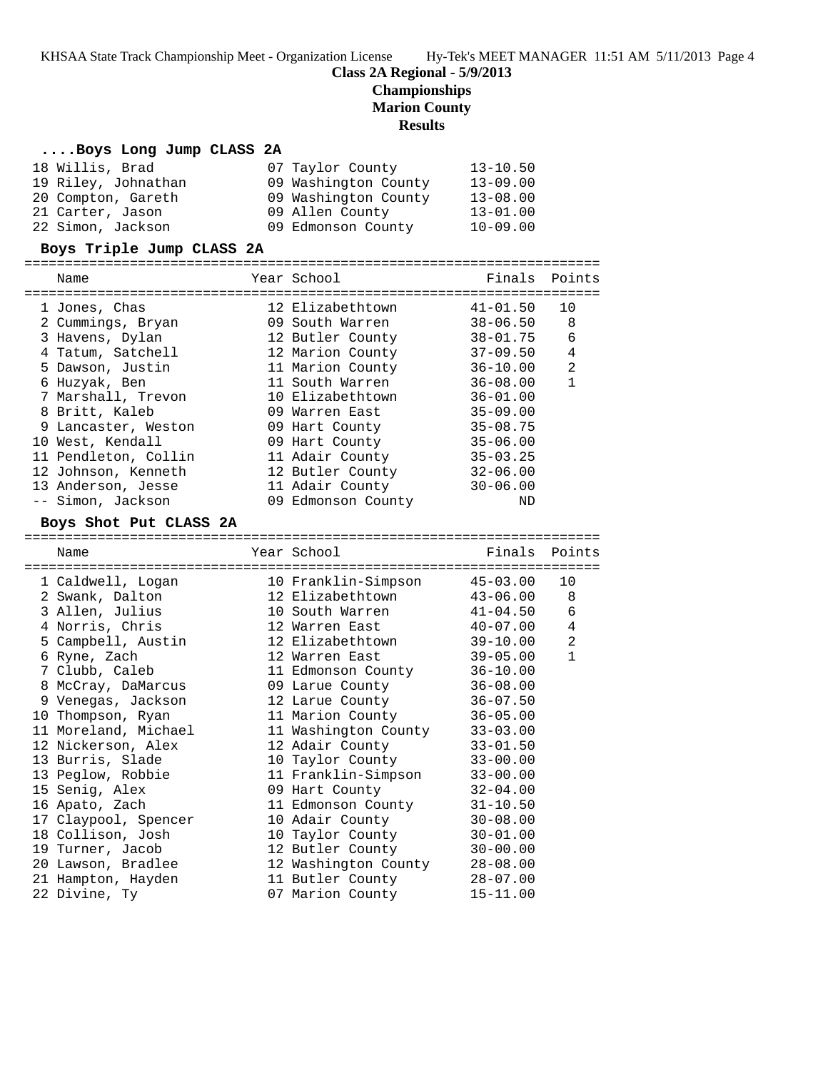KHSAA State Track Championship Meet - Organization License Hy-Tek's MEET MANAGER 11:51 AM 5/11/2013 Page 4

# **Class 2A Regional - 5/9/2013**

**Championships**

**Marion County**

## **Results**

### **....Boys Long Jump CLASS 2A**

| 18 Willis, Brad     | 07 Taylor County     | $13 - 10.50$ |
|---------------------|----------------------|--------------|
| 19 Riley, Johnathan | 09 Washington County | $13 - 09.00$ |
| 20 Compton, Gareth  | 09 Washington County | $13 - 08.00$ |
| 21 Carter, Jason    | 09 Allen County      | $13 - 01.00$ |
| 22 Simon, Jackson   | 09 Edmonson County   | $10 - 09.00$ |

### **Boys Triple Jump CLASS 2A**

| Name                 | Year School        | Finals Points |                |
|----------------------|--------------------|---------------|----------------|
|                      |                    |               |                |
| 1 Jones, Chas        | 12 Elizabethtown   | $41 - 01.50$  | 10             |
| 2 Cummings, Bryan    | 09 South Warren    | 38-06.50      | -8             |
| 3 Havens, Dylan      | 12 Butler County   | 38-01.75      | 6              |
| 4 Tatum, Satchell    | 12 Marion County   | $37 - 09.50$  | 4              |
| 5 Dawson, Justin     | 11 Marion County   | $36 - 10.00$  | $\overline{2}$ |
| 6 Huzyak, Ben        | 11 South Warren    | $36 - 08.00$  | 1              |
| 7 Marshall, Trevon   | 10 Elizabethtown   | $36 - 01.00$  |                |
| 8 Britt, Kaleb       | 09 Warren East     | $35 - 09.00$  |                |
| 9 Lancaster, Weston  | 09 Hart County     | $35 - 08.75$  |                |
| 10 West, Kendall     | 09 Hart County     | $35 - 06.00$  |                |
| 11 Pendleton, Collin | 11 Adair County    | $35 - 03.25$  |                |
| 12 Johnson, Kenneth  | 12 Butler County   | $32 - 06.00$  |                |
| 13 Anderson, Jesse   | 11 Adair County    | $30 - 06.00$  |                |
| -- Simon, Jackson    | 09 Edmonson County | ND            |                |

#### **Boys Shot Put CLASS 2A**

| Name<br>===============================                                   | Year School<br>---------------------- | Finals Points |                |
|---------------------------------------------------------------------------|---------------------------------------|---------------|----------------|
| 1 Caldwell, Logan                                                         | 10 Franklin-Simpson                   | 45-03.00      | 10             |
| 2 Swank, Dalton                     12 Elizabethtown             43-06.00 |                                       |               | $\,8\,$        |
| 3 Allen, Julius                                                           | 10 South Warren 41-04.50              |               | $\sqrt{6}$     |
| 4 Norris, Chris                                                           | 12 Warren East 40-07.00               |               | $\overline{4}$ |
| 5 Campbell, Austin 12 Elizabethtown                                       |                                       | 39-10.00      | $\overline{2}$ |
| 6 Ryne, Zach                                                              | 12 Warren East                        | 39-05.00      | $\mathbf{1}$   |
| 7 Clubb, Caleb                                                            | 11 Edmonson County                    | $36 - 10.00$  |                |
|                                                                           |                                       | $36 - 08.00$  |                |
| 9 Venegas, Jackson                                                        | 12 Larue County                       | $36 - 07.50$  |                |
| 10 Thompson, Ryan                                                         | 11 Marion County                      | $36 - 05.00$  |                |
| 11 Moreland, Michael                                                      | 11 Washington County                  | $33 - 03.00$  |                |
| 12 Nickerson, Alex                                                        | 12 Adair County                       | $33 - 01.50$  |                |
| 13 Burris, Slade                                                          | 10 Taylor County                      | $33 - 00.00$  |                |
| 13 Peglow, Robbie 11 Franklin-Simpson                                     |                                       | $33 - 00.00$  |                |
| 15 Senig, Alex                                                            | 09 Hart County                        | $32 - 04.00$  |                |
| 16 Apato, Zach                                                            | 11 Edmonson County                    | $31 - 10.50$  |                |
| 17 Claypool, Spencer                                                      | 10 Adair County                       | $30 - 08.00$  |                |
| 18 Collison, Josh                                                         | 10 Taylor County                      | $30 - 01.00$  |                |
| 19 Turner, Jacob                                                          | 12 Butler County                      | $30 - 00.00$  |                |
| 20 Lawson, Bradlee                                                        | 12 Washington County                  | $28 - 08.00$  |                |
| 21 Hampton, Hayden                                                        | 11 Butler County                      | $28 - 07.00$  |                |
| 22 Divine, Ty                                                             | 07 Marion County                      | $15 - 11.00$  |                |